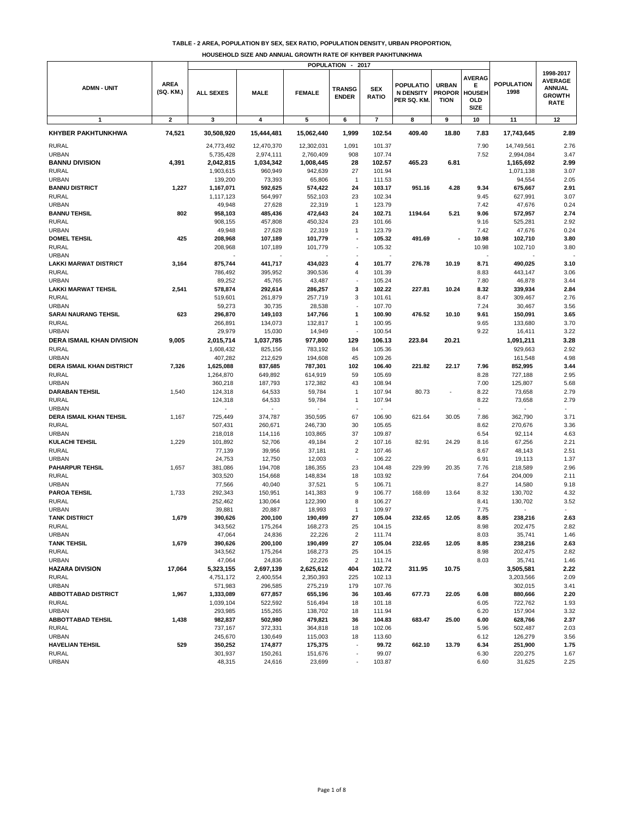**TABLE - 2 AREA, POPULATION BY SEX, SEX RATIO, POPULATION DENSITY, URBAN PROPORTION,** 

|                                                  |                          |                        |                    |                    | POPULATION -                  | 2017                       |                                                    |                                              |                                                    |                           |                                                                              |
|--------------------------------------------------|--------------------------|------------------------|--------------------|--------------------|-------------------------------|----------------------------|----------------------------------------------------|----------------------------------------------|----------------------------------------------------|---------------------------|------------------------------------------------------------------------------|
| <b>ADMN - UNIT</b>                               | <b>AREA</b><br>(SQ. KM.) | <b>ALL SEXES</b>       | <b>MALE</b>        | <b>FEMALE</b>      | <b>TRANSG</b><br><b>ENDER</b> | <b>SEX</b><br><b>RATIO</b> | <b>POPULATIO</b><br><b>N DENSITY</b><br>PER SQ. KM | <b>URBAN</b><br><b>PROPOR</b><br><b>TION</b> | <b>AVERAG</b><br>Е<br>HOUSEH<br><b>OLD</b><br>SIZE | <b>POPULATION</b><br>1998 | 1998-2017<br><b>AVERAGE</b><br><b>ANNUAL</b><br><b>GROWTH</b><br><b>RATE</b> |
| $\mathbf{1}$                                     | $\mathbf{2}$             | 3                      | 4                  | 5                  | 6                             | $\overline{\mathbf{r}}$    | 8                                                  | 9                                            | 10                                                 | 11                        | 12                                                                           |
| <b>KHYBER PAKHTUNKHWA</b>                        | 74,521                   | 30,508,920             | 15,444,481         | 15,062,440         | 1,999                         | 102.54                     | 409.40                                             | 18.80                                        | 7.83                                               | 17,743,645                | 2.89                                                                         |
| <b>RURAL</b>                                     |                          | 24,773,492             | 12,470,370         | 12,302,031         | 1,091                         | 101.37                     |                                                    |                                              | 7.90                                               | 14,749,561                | 2.76                                                                         |
| <b>URBAN</b>                                     |                          | 5,735,428              | 2,974,111          | 2,760,409          | 908                           | 107.74                     |                                                    |                                              | 7.52                                               | 2,994,084                 | 3.47                                                                         |
| <b>BANNU DIVISION</b>                            | 4,391                    | 2,042,815              | 1,034,342          | 1,008,445          | 28                            | 102.57                     | 465.23                                             | 6.81                                         |                                                    | 1,165,692                 | 2.99                                                                         |
| <b>RURAL</b>                                     |                          | 1,903,615              | 960,949            | 942,639            | 27                            | 101.94                     |                                                    |                                              |                                                    | 1,071,138                 | 3.07                                                                         |
| <b>URBAN</b><br><b>BANNU DISTRICT</b>            | 1,227                    | 139,200<br>1,167,071   | 73,393<br>592,625  | 65,806<br>574,422  | $\overline{1}$<br>24          | 111.53<br>103.17           | 951.16                                             | 4.28                                         | 9.34                                               | 94,554<br>675,667         | 2.05<br>2.91                                                                 |
| <b>RURAL</b>                                     |                          | 1,117,123              | 564,997            | 552,103            | 23                            | 102.34                     |                                                    |                                              | 9.45                                               | 627,991                   | 3.07                                                                         |
| <b>URBAN</b>                                     |                          | 49,948                 | 27,628             | 22,319             | $\overline{1}$                | 123.79                     |                                                    |                                              | 7.42                                               | 47,676                    | 0.24                                                                         |
| <b>BANNU TEHSIL</b>                              | 802                      | 958,103                | 485,436            | 472,643            | 24                            | 102.71                     | 1194.64                                            | 5.21                                         | 9.06                                               | 572,957                   | 2.74                                                                         |
| <b>RURAL</b>                                     |                          | 908,155                | 457,808            | 450,324            | 23                            | 101.66                     |                                                    |                                              | 9.16                                               | 525,281                   | 2.92                                                                         |
| <b>URBAN</b>                                     |                          | 49,948                 | 27,628             | 22,319             | $\mathbf{1}$                  | 123.79                     |                                                    |                                              | 7.42                                               | 47,676                    | 0.24                                                                         |
| <b>DOMEL TEHSIL</b><br><b>RURAL</b>              | 425                      | 208,968<br>208,968     | 107,189<br>107,189 | 101,779<br>101,779 |                               | 105.32<br>105.32           | 491.69                                             |                                              | 10.98<br>10.98                                     | 102,710<br>102,710        | 3.80<br>3.80                                                                 |
| <b>URBAN</b>                                     |                          |                        |                    |                    |                               |                            |                                                    |                                              |                                                    |                           |                                                                              |
| LAKKI MARWAT DISTRICT                            | 3,164                    | 875,744                | 441,717            | 434,023            | 4                             | 101.77                     | 276.78                                             | 10.19                                        | 8.71                                               | 490,025                   | 3.10                                                                         |
| <b>RURAL</b>                                     |                          | 786,492                | 395,952            | 390,536            | 4                             | 101.39                     |                                                    |                                              | 8.83                                               | 443,147                   | 3.06                                                                         |
| <b>URBAN</b>                                     |                          | 89,252                 | 45,765             | 43,487             |                               | 105.24                     |                                                    |                                              | 7.80                                               | 46,878                    | 3.44                                                                         |
| <b>LAKKI MARWAT TEHSIL</b>                       | 2,541                    | 578,874                | 292,614            | 286,257            | 3                             | 102.22                     | 227.81                                             | 10.24                                        | 8.32                                               | 339,934                   | 2.84                                                                         |
| <b>RURAL</b><br><b>URBAN</b>                     |                          | 519,601<br>59,273      | 261,879<br>30,735  | 257,719<br>28,538  | 3                             | 101.61<br>107.70           |                                                    |                                              | 8.47<br>7.24                                       | 309,467<br>30,467         | 2.76<br>3.56                                                                 |
| <b>SARAI NAURANG TEHSIL</b>                      | 623                      | 296,870                | 149,103            | 147,766            | 1                             | 100.90                     | 476.52                                             | 10.10                                        | 9.61                                               | 150,091                   | 3.65                                                                         |
| <b>RURAL</b>                                     |                          | 266,891                | 134,073            | 132,817            | $\mathbf{1}$                  | 100.95                     |                                                    |                                              | 9.65                                               | 133,680                   | 3.70                                                                         |
| <b>URBAN</b>                                     |                          | 29,979                 | 15,030             | 14,949             |                               | 100.54                     |                                                    |                                              | 9.22                                               | 16,411                    | 3.22                                                                         |
| <b>DERA ISMAIL KHAN DIVISION</b>                 | 9,005                    | 2,015,714              | 1,037,785          | 977,800            | 129                           | 106.13                     | 223.84                                             | 20.21                                        |                                                    | 1,091,211                 | 3.28                                                                         |
| <b>RURAL</b>                                     |                          | 1,608,432              | 825,156            | 783,192            | 84                            | 105.36                     |                                                    |                                              |                                                    | 929.663                   | 2.92                                                                         |
| <b>URBAN</b>                                     |                          | 407,282                | 212,629            | 194,608            | 45                            | 109.26                     |                                                    |                                              |                                                    | 161,548                   | 4.98                                                                         |
| <b>DERA ISMAIL KHAN DISTRICT</b><br><b>RURAL</b> | 7,326                    | 1,625,088<br>1,264,870 | 837,685<br>649,892 | 787,301<br>614,919 | 102<br>59                     | 106.40<br>105.69           | 221.82                                             | 22.17                                        | 7.96<br>8.28                                       | 852,995<br>727,188        | 3.44<br>2.95                                                                 |
| <b>URBAN</b>                                     |                          | 360,218                | 187,793            | 172,382            | 43                            | 108.94                     |                                                    |                                              | 7.00                                               | 125,807                   | 5.68                                                                         |
| <b>DARABAN TEHSIL</b>                            | 1,540                    | 124,318                | 64,533             | 59,784             | $\overline{1}$                | 107.94                     | 80.73                                              |                                              | 8.22                                               | 73,658                    | 2.79                                                                         |
| <b>RURAL</b>                                     |                          | 124,318                | 64,533             | 59,784             | $\mathbf{1}$                  | 107.94                     |                                                    |                                              | 8.22                                               | 73,658                    | 2.79                                                                         |
| <b>URBAN</b>                                     |                          | $\tilde{\phantom{a}}$  | $\sim$             |                    |                               | $\overline{\phantom{a}}$   |                                                    |                                              | ٠                                                  | $\sim$                    | $\mathbf{r}$                                                                 |
| DERA ISMAIL KHAN TEHSIL                          | 1,167                    | 725,449                | 374,787            | 350,595            | 67<br>30                      | 106.90                     | 621.64                                             | 30.05                                        | 7.86                                               | 362,790<br>270,676        | 3.71<br>3.36                                                                 |
| <b>RURAL</b><br><b>URBAN</b>                     |                          | 507,431<br>218,018     | 260,671<br>114,116 | 246,730<br>103,865 | 37                            | 105.65<br>109.87           |                                                    |                                              | 8.62<br>6.54                                       | 92,114                    | 4.63                                                                         |
| <b>KULACHI TEHSIL</b>                            | 1,229                    | 101,892                | 52,706             | 49,184             | $\overline{2}$                | 107.16                     | 82.91                                              | 24.29                                        | 8.16                                               | 67,256                    | 2.21                                                                         |
| <b>RURAL</b>                                     |                          | 77,139                 | 39,956             | 37,181             | $\overline{\mathbf{c}}$       | 107.46                     |                                                    |                                              | 8.67                                               | 48,143                    | 2.51                                                                         |
| <b>URBAN</b>                                     |                          | 24,753                 | 12,750             | 12,003             | $\sim$                        | 106.22                     |                                                    |                                              | 6.91                                               | 19,113                    | 1.37                                                                         |
| <b>PAHARPUR TEHSIL</b>                           | 1,657                    | 381,086                | 194,708            | 186,355            | 23                            | 104.48                     | 229.99                                             | 20.35                                        | 7.76                                               | 218,589                   | 2.96                                                                         |
| <b>RURAL</b><br><b>URBAN</b>                     |                          | 303,520<br>77,566      | 154,668<br>40,040  | 148,834<br>37,521  | 18<br>5                       | 103.92<br>106.71           |                                                    |                                              | 7.64<br>8.27                                       | 204,009<br>14,580         | 2.11<br>9.18                                                                 |
| <b>PAROA TEHSIL</b>                              | 1,733                    | 292,343                | 150,951            | 141,383            | 9                             | 106.77                     | 168.69                                             | 13.64                                        | 8.32                                               | 130,702                   | 4.32                                                                         |
| <b>RURAL</b>                                     |                          | 252,462                | 130,064            | 122,390            | 8                             | 106.27                     |                                                    |                                              | 8.41                                               | 130,702                   | 3.52                                                                         |
| <b>URBAN</b>                                     |                          | 39,881                 | 20,887             | 18,993             | $\mathbf{1}$                  | 109.97                     |                                                    |                                              | 7.75                                               |                           |                                                                              |
| <b>TANK DISTRICT</b>                             | 1,679                    | 390,626                | 200,100            | 190,499            | 27                            | 105.04                     | 232.65                                             | 12.05                                        | 8.85                                               | 238,216                   | 2.63                                                                         |
| RURAL<br><b>URBAN</b>                            |                          | 343,562<br>47,064      | 175,264<br>24,836  | 168,273<br>22,226  | 25<br>$\overline{2}$          | 104.15<br>111.74           |                                                    |                                              | 8.98<br>8.03                                       | 202,475<br>35,741         | 2.82<br>1.46                                                                 |
| <b>TANK TEHSIL</b>                               | 1,679                    | 390,626                | 200,100            | 190,499            | 27                            | 105.04                     | 232.65                                             | 12.05                                        | 8.85                                               | 238,216                   | 2.63                                                                         |
| <b>RURAL</b>                                     |                          | 343,562                | 175,264            | 168,273            | 25                            | 104.15                     |                                                    |                                              | 8.98                                               | 202,475                   | 2.82                                                                         |
| <b>URBAN</b>                                     |                          | 47,064                 | 24,836             | 22,226             | $\overline{2}$                | 111.74                     |                                                    |                                              | 8.03                                               | 35,741                    | 1.46                                                                         |
| <b>HAZARA DIVISION</b>                           | 17,064                   | 5,323,155              | 2,697,139          | 2,625,612          | 404                           | 102.72                     | 311.95                                             | 10.75                                        |                                                    | 3,505,581                 | 2.22                                                                         |
| <b>RURAL</b>                                     |                          | 4,751,172              | 2,400,554          | 2,350,393          | 225                           | 102.13                     |                                                    |                                              |                                                    | 3,203,566                 | 2.09                                                                         |
| <b>URBAN</b><br><b>ABBOTTABAD DISTRICT</b>       | 1,967                    | 571,983<br>1,333,089   | 296,585<br>677,857 | 275,219<br>655,196 | 179<br>36                     | 107.76<br>103.46           | 677.73                                             | 22.05                                        | 6.08                                               | 302,015<br>880,666        | 3.41<br>2.20                                                                 |
| <b>RURAL</b>                                     |                          | 1,039,104              | 522,592            | 516,494            | 18                            | 101.18                     |                                                    |                                              | 6.05                                               | 722,762                   | 1.93                                                                         |
| <b>URBAN</b>                                     |                          | 293,985                | 155,265            | 138,702            | 18                            | 111.94                     |                                                    |                                              | 6.20                                               | 157,904                   | 3.32                                                                         |
| <b>ABBOTTABAD TEHSIL</b>                         | 1,438                    | 982,837                | 502,980            | 479,821            | 36                            | 104.83                     | 683.47                                             | 25.00                                        | 6.00                                               | 628,766                   | 2.37                                                                         |
| <b>RURAL</b>                                     |                          | 737,167                | 372,331            | 364,818            | 18                            | 102.06                     |                                                    |                                              | 5.96                                               | 502,487                   | 2.03                                                                         |
| <b>URBAN</b>                                     | 529                      | 245,670                | 130,649            | 115,003            | 18                            | 113.60                     |                                                    |                                              | 6.12                                               | 126,279                   | 3.56                                                                         |
| <b>HAVELIAN TEHSIL</b><br><b>RURAL</b>           |                          | 350,252<br>301,937     | 174,877<br>150,261 | 175,375<br>151,676 |                               | 99.72<br>99.07             | 662.10                                             | 13.79                                        | 6.34<br>6.30                                       | 251,900<br>220,275        | 1.75<br>1.67                                                                 |
| <b>URBAN</b>                                     |                          | 48,315                 | 24,616             | 23,699             |                               | 103.87                     |                                                    |                                              | 6.60                                               | 31,625                    | 2.25                                                                         |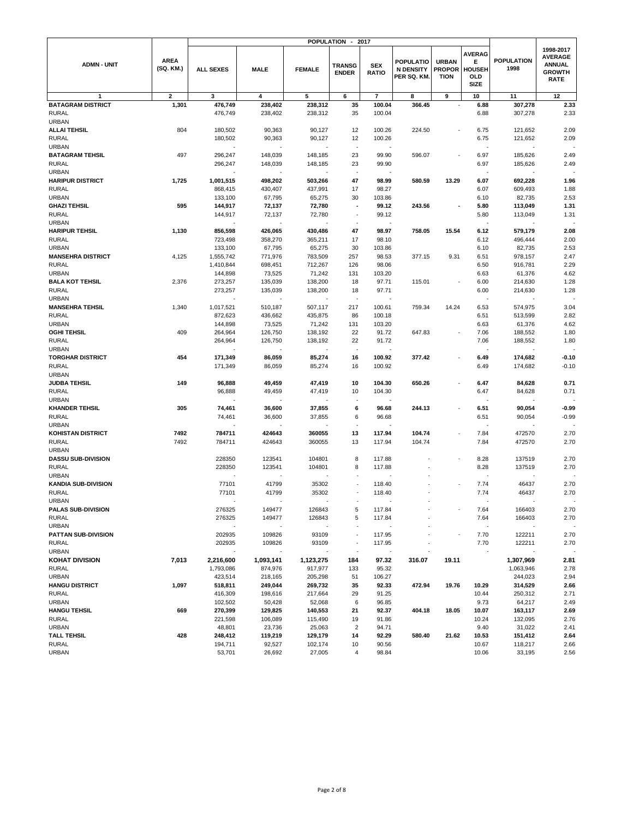|                                            |                          |                      |                    |                    | <b>POPULATION -</b>           | 2017                       |                                              |                                              |                                                           |                           |                                                                              |  |
|--------------------------------------------|--------------------------|----------------------|--------------------|--------------------|-------------------------------|----------------------------|----------------------------------------------|----------------------------------------------|-----------------------------------------------------------|---------------------------|------------------------------------------------------------------------------|--|
| <b>ADMN - UNIT</b>                         | <b>AREA</b><br>(SQ. KM.) | <b>ALL SEXES</b>     | <b>MALE</b>        | <b>FEMALE</b>      | <b>TRANSG</b><br><b>ENDER</b> | <b>SEX</b><br><b>RATIO</b> | POPULATIO<br><b>N DENSITY</b><br>PER SQ. KM. | <b>URBAN</b><br><b>PROPOR</b><br><b>TION</b> | <b>AVERAG</b><br>Е<br><b>HOUSEH</b><br>OLD<br><b>SIZE</b> | <b>POPULATION</b><br>1998 | 1998-2017<br><b>AVERAGE</b><br><b>ANNUAL</b><br><b>GROWTH</b><br><b>RATE</b> |  |
| $\mathbf{1}$                               | $\overline{\mathbf{2}}$  | 3                    | 4                  | 5                  | 6                             | $\overline{7}$             | 8                                            | 9                                            | 10                                                        | 11                        | 12                                                                           |  |
| <b>BATAGRAM DISTRICT</b>                   | 1,301                    | 476,749              | 238,402            | 238,312            | 35                            | 100.04                     | 366.45                                       | ÷,                                           | 6.88                                                      | 307,278                   | 2.33                                                                         |  |
| <b>RURAL</b>                               |                          | 476,749              | 238,402            | 238,312            | 35                            | 100.04                     |                                              |                                              | 6.88                                                      | 307,278                   | 2.33                                                                         |  |
| <b>URBAN</b><br><b>ALLAI TEHSIL</b>        | 804                      | 180,502              | 90,363             | 90,127             | 12                            | 100.26                     | 224.50                                       |                                              | 6.75                                                      | 121,652                   | 2.09                                                                         |  |
| <b>RURAL</b>                               |                          | 180,502              | 90,363             | 90,127             | 12                            | 100.26                     |                                              |                                              | 6.75                                                      | 121,652                   | 2.09                                                                         |  |
| <b>URBAN</b>                               |                          |                      |                    |                    |                               |                            |                                              |                                              |                                                           |                           |                                                                              |  |
| <b>BATAGRAM TEHSIL</b>                     | 497                      | 296,247              | 148,039            | 148,185            | 23                            | 99.90                      | 596.07                                       |                                              | 6.97                                                      | 185,626                   | 2.49                                                                         |  |
| <b>RURAL</b>                               |                          | 296,247              | 148,039            | 148,185            | 23                            | 99.90                      |                                              |                                              | 6.97                                                      | 185,626                   | 2.49                                                                         |  |
| <b>URBAN</b>                               |                          |                      |                    |                    |                               |                            |                                              |                                              |                                                           |                           |                                                                              |  |
| <b>HARIPUR DISTRICT</b><br><b>RURAL</b>    | 1,725                    | 1,001,515<br>868,415 | 498,202<br>430,407 | 503,266<br>437,991 | 47<br>17                      | 98.99<br>98.27             | 580.59                                       | 13.29                                        | 6.07<br>6.07                                              | 692,228<br>609,493        | 1.96<br>1.88                                                                 |  |
| <b>URBAN</b>                               |                          | 133,100              | 67,795             | 65,275             | 30                            | 103.86                     |                                              |                                              | 6.10                                                      | 82,735                    | 2.53                                                                         |  |
| <b>GHAZI TEHSIL</b>                        | 595                      | 144,917              | 72,137             | 72,780             | $\overline{\phantom{a}}$      | 99.12                      | 243.56                                       |                                              | 5.80                                                      | 113,049                   | 1.31                                                                         |  |
| <b>RURAL</b>                               |                          | 144,917              | 72,137             | 72,780             | ÷                             | 99.12                      |                                              |                                              | 5.80                                                      | 113,049                   | 1.31                                                                         |  |
| <b>URBAN</b>                               |                          |                      |                    |                    |                               |                            |                                              |                                              |                                                           |                           |                                                                              |  |
| <b>HARIPUR TEHSIL</b>                      | 1,130                    | 856,598              | 426,065            | 430,486            | 47                            | 98.97                      | 758.05                                       | 15.54                                        | 6.12                                                      | 579,179                   | 2.08                                                                         |  |
| <b>RURAL</b><br><b>URBAN</b>               |                          | 723,498<br>133,100   | 358,270<br>67,795  | 365,211<br>65,275  | 17<br>30                      | 98.10<br>103.86            |                                              |                                              | 6.12<br>6.10                                              | 496,444<br>82,735         | 2.00<br>2.53                                                                 |  |
| <b>MANSEHRA DISTRICT</b>                   | 4,125                    | 1,555,742            | 771,976            | 783,509            | 257                           | 98.53                      | 377.15                                       | 9.31                                         | 6.51                                                      | 978,157                   | 2.47                                                                         |  |
| <b>RURAL</b>                               |                          | 1,410,844            | 698,451            | 712,267            | 126                           | 98.06                      |                                              |                                              | 6.50                                                      | 916,781                   | 2.29                                                                         |  |
| <b>URBAN</b>                               |                          | 144,898              | 73,525             | 71,242             | 131                           | 103.20                     |                                              |                                              | 6.63                                                      | 61,376                    | 4.62                                                                         |  |
| <b>BALA KOT TEHSIL</b>                     | 2,376                    | 273,257              | 135,039            | 138,200            | 18                            | 97.71                      | 115.01                                       |                                              | 6.00                                                      | 214,630                   | 1.28                                                                         |  |
| <b>RURAL</b>                               |                          | 273,257              | 135,039            | 138,200            | 18                            | 97.71                      |                                              |                                              | 6.00                                                      | 214,630                   | 1.28                                                                         |  |
| <b>URBAN</b>                               |                          |                      |                    |                    | ÷,                            |                            |                                              |                                              | ÷,                                                        |                           |                                                                              |  |
| <b>MANSEHRA TEHSIL</b><br><b>RURAL</b>     | 1,340                    | 1,017,521<br>872,623 | 510,187<br>436,662 | 507,117<br>435,875 | 217<br>86                     | 100.61<br>100.18           | 759.34                                       | 14.24                                        | 6.53<br>6.51                                              | 574,975<br>513,599        | 3.04<br>2.82                                                                 |  |
| <b>URBAN</b>                               |                          | 144,898              | 73,525             | 71,242             | 131                           | 103.20                     |                                              |                                              | 6.63                                                      | 61,376                    | 4.62                                                                         |  |
| <b>OGHI TEHSIL</b>                         | 409                      | 264,964              | 126,750            | 138,192            | 22                            | 91.72                      | 647.83                                       |                                              | 7.06                                                      | 188,552                   | 1.80                                                                         |  |
| <b>RURAL</b>                               |                          | 264,964              | 126,750            | 138,192            | 22                            | 91.72                      |                                              |                                              | 7.06                                                      | 188,552                   | 1.80                                                                         |  |
| <b>URBAN</b>                               |                          |                      |                    |                    | ÷,                            |                            |                                              |                                              |                                                           |                           |                                                                              |  |
| <b>TORGHAR DISTRICT</b>                    | 454                      | 171,349              | 86,059             | 85,274             | 16                            | 100.92                     | 377.42                                       |                                              | 6.49                                                      | 174,682                   | $-0.10$                                                                      |  |
| <b>RURAL</b><br><b>URBAN</b>               |                          | 171,349              | 86,059             | 85,274             | 16                            | 100.92                     |                                              |                                              | 6.49                                                      | 174,682                   | $-0.10$                                                                      |  |
| <b>JUDBA TEHSIL</b>                        | 149                      | 96,888               | 49,459             | 47,419             | 10                            | 104.30                     | 650.26                                       |                                              | 6.47                                                      | 84,628                    | 0.71                                                                         |  |
| <b>RURAL</b>                               |                          | 96,888               | 49,459             | 47,419             | 10                            | 104.30                     |                                              |                                              | 6.47                                                      | 84,628                    | 0.71                                                                         |  |
| <b>URBAN</b>                               |                          |                      |                    |                    |                               |                            |                                              |                                              |                                                           |                           |                                                                              |  |
| <b>KHANDER TEHSIL</b>                      | 305                      | 74,461               | 36,600             | 37,855             | 6                             | 96.68                      | 244.13                                       |                                              | 6.51                                                      | 90,054                    | -0.99                                                                        |  |
| <b>RURAL</b><br><b>URBAN</b>               |                          | 74,461               | 36,600             | 37,855             | 6                             | 96.68                      |                                              |                                              | 6.51                                                      | 90,054                    | $-0.99$                                                                      |  |
| <b>KOHISTAN DISTRICT</b>                   | 7492                     | 784711               | 424643             | 360055             | 13                            | 117.94                     | 104.74                                       |                                              | 7.84                                                      | 472570                    | 2.70                                                                         |  |
| <b>RURAL</b>                               | 7492                     | 784711               | 424643             | 360055             | 13                            | 117.94                     | 104.74                                       |                                              | 7.84                                                      | 472570                    | 2.70                                                                         |  |
| <b>URBAN</b>                               |                          |                      |                    |                    |                               |                            |                                              |                                              |                                                           |                           |                                                                              |  |
| <b>DASSU SUB-DIVISION</b>                  |                          | 228350               | 123541             | 104801             | 8                             | 117.88                     |                                              |                                              | 8.28                                                      | 137519                    | 2.70                                                                         |  |
| <b>RURAL</b>                               |                          | 228350               | 123541             | 104801             | 8                             | 117.88                     |                                              |                                              | 8.28                                                      | 137519                    | 2.70                                                                         |  |
| <b>URBAN</b><br><b>KANDIA SUB-DIVISION</b> |                          | 77101                | 41799              | 35302              |                               | 118.40                     |                                              |                                              | 7.74                                                      | 46437                     | 2.70                                                                         |  |
| <b>RURAL</b>                               |                          | 77101                | 41799              | 35302              |                               | 118.40                     |                                              |                                              | 7.74                                                      | 46437                     | 2.70                                                                         |  |
| URBAN                                      |                          |                      |                    |                    |                               |                            |                                              |                                              |                                                           |                           |                                                                              |  |
| PALAS SUB-DIVISION                         |                          | 276325               | 149477             | 126843             | 5                             | 117.84                     |                                              |                                              | 7.64                                                      | 166403                    | 2.70                                                                         |  |
| <b>RURAL</b>                               |                          | 276325               | 149477             | 126843             | 5                             | 117.84                     |                                              |                                              | 7.64                                                      | 166403                    | 2.70                                                                         |  |
| <b>URBAN</b>                               |                          |                      |                    |                    | ÷,                            |                            |                                              |                                              |                                                           |                           |                                                                              |  |
| PATTAN SUB-DIVISION<br><b>RURAL</b>        |                          | 202935<br>202935     | 109826<br>109826   | 93109<br>93109     |                               | 117.95<br>117.95           |                                              |                                              | 7.70<br>7.70                                              | 122211<br>122211          | 2.70<br>2.70                                                                 |  |
| <b>URBAN</b>                               |                          |                      |                    |                    |                               |                            |                                              |                                              |                                                           |                           |                                                                              |  |
| <b>KOHAT DIVISION</b>                      | 7,013                    | 2,216,600            | 1,093,141          | 1,123,275          | 184                           | 97.32                      | 316.07                                       | 19.11                                        |                                                           | 1,307,969                 | 2.81                                                                         |  |
| <b>RURAL</b>                               |                          | 1,793,086            | 874,976            | 917,977            | 133                           | 95.32                      |                                              |                                              |                                                           | 1,063,946                 | 2.78                                                                         |  |
| <b>URBAN</b>                               |                          | 423,514              | 218,165            | 205,298            | 51                            | 106.27                     |                                              |                                              |                                                           | 244,023                   | 2.94                                                                         |  |
| <b>HANGU DISTRICT</b><br><b>RURAL</b>      | 1,097                    | 518,811<br>416,309   | 249,044<br>198,616 | 269,732<br>217,664 | 35<br>29                      | 92.33<br>91.25             | 472.94                                       | 19.76                                        | 10.29<br>10.44                                            | 314,529<br>250,312        | 2.66<br>2.71                                                                 |  |
| <b>URBAN</b>                               |                          | 102,502              | 50,428             | 52,068             | 6                             | 96.85                      |                                              |                                              | 9.73                                                      | 64,217                    | 2.49                                                                         |  |
| <b>HANGU TEHSIL</b>                        | 669                      | 270,399              | 129,825            | 140,553            | 21                            | 92.37                      | 404.18                                       | 18.05                                        | 10.07                                                     | 163,117                   | 2.69                                                                         |  |
| <b>RURAL</b>                               |                          | 221,598              | 106,089            | 115,490            | 19                            | 91.86                      |                                              |                                              | 10.24                                                     | 132,095                   | 2.76                                                                         |  |
| <b>URBAN</b>                               |                          | 48,801               | 23,736             | 25,063             | $\overline{\mathbf{c}}$       | 94.71                      |                                              |                                              | 9.40                                                      | 31,022                    | 2.41                                                                         |  |
| TALL TEHSIL                                | 428                      | 248,412              | 119,219            | 129,179            | 14                            | 92.29                      | 580.40                                       | 21.62                                        | 10.53                                                     | 151,412                   | 2.64                                                                         |  |
| <b>RURAL</b><br><b>URBAN</b>               |                          | 194,711<br>53,701    | 92,527<br>26,692   | 102,174<br>27,005  | 10<br>4                       | 90.56<br>98.84             |                                              |                                              | 10.67<br>10.06                                            | 118,217<br>33,195         | 2.66<br>2.56                                                                 |  |
|                                            |                          |                      |                    |                    |                               |                            |                                              |                                              |                                                           |                           |                                                                              |  |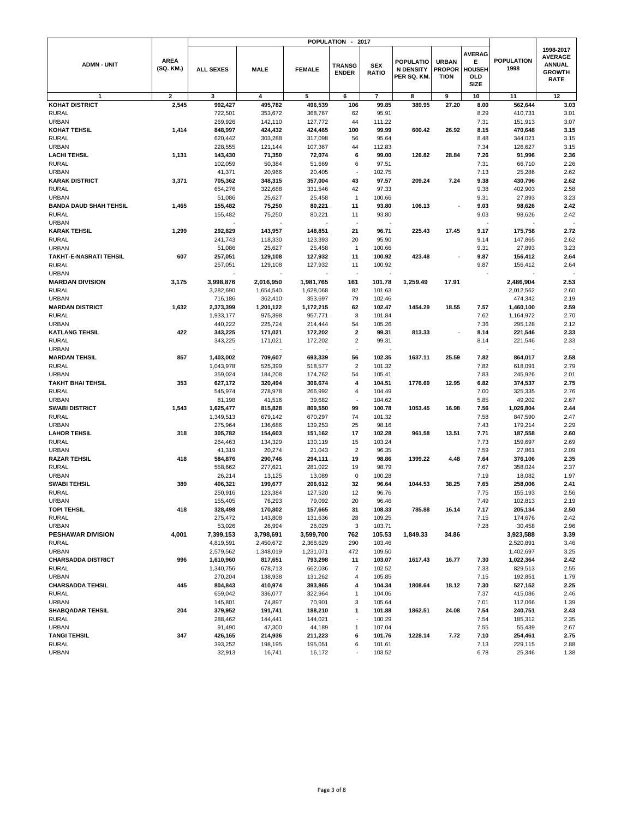|                                         |                          |                        |                      | <b>POPULATION</b>    | $\overline{\phantom{a}}$      | 2017                       |                                                    |                                              |                                                           |                           |                                                                              |
|-----------------------------------------|--------------------------|------------------------|----------------------|----------------------|-------------------------------|----------------------------|----------------------------------------------------|----------------------------------------------|-----------------------------------------------------------|---------------------------|------------------------------------------------------------------------------|
| <b>ADMN - UNIT</b>                      | <b>AREA</b><br>(SQ. KM.) | <b>ALL SEXES</b>       | <b>MALE</b>          | <b>FEMALE</b>        | <b>TRANSG</b><br><b>ENDER</b> | <b>SEX</b><br><b>RATIO</b> | <b>POPULATIO</b><br><b>N DENSITY</b><br>PER SQ. KM | <b>URBAN</b><br><b>PROPOR</b><br><b>TION</b> | <b>AVERAG</b><br>Е<br><b>HOUSEH</b><br>OLD<br><b>SIZE</b> | <b>POPULATION</b><br>1998 | 1998-2017<br><b>AVERAGE</b><br><b>ANNUAL</b><br><b>GROWTH</b><br><b>RATE</b> |
| 1                                       | $\overline{2}$           | 3                      | 4                    | 5                    | 6                             | $\overline{7}$             | 8                                                  | 9                                            | 10                                                        | 11                        | 12                                                                           |
| <b>KOHAT DISTRICT</b>                   | 2,545                    | 992,427                | 495,782              | 496,539              | 106                           | 99.85                      | 389.95                                             | 27.20                                        | 8.00                                                      | 562,644                   | 3.03                                                                         |
| <b>RURAL</b>                            |                          | 722,501                | 353,672              | 368,767              | 62                            | 95.91                      |                                                    |                                              | 8.29                                                      | 410,731                   | 3.01                                                                         |
| <b>URBAN</b>                            |                          | 269,926                | 142,110              | 127,772              | 44                            | 111.22                     |                                                    |                                              | 7.31                                                      | 151,913                   | 3.07                                                                         |
| KOHAT TEHSIL                            | 1,414                    | 848,997                | 424,432              | 424,465              | 100                           | 99.99                      | 600.42                                             | 26.92                                        | 8.15                                                      | 470,648                   | 3.15                                                                         |
| <b>RURAL</b>                            |                          | 620,442                | 303,288              | 317,098              | 56                            | 95.64                      |                                                    |                                              | 8.48                                                      | 344,021                   | 3.15                                                                         |
| <b>URBAN</b>                            |                          | 228,555                | 121,144              | 107,367              | 44                            | 112.83                     |                                                    |                                              | 7.34                                                      | 126,627                   | 3.15                                                                         |
| <b>LACHI TEHSIL</b>                     | 1,131                    | 143,430                | 71,350               | 72,074               | 6                             | 99.00                      | 126.82                                             | 28.84                                        | 7.26                                                      | 91,996                    | 2.36                                                                         |
| <b>RURAL</b>                            |                          | 102,059                | 50,384               | 51,669               | 6                             | 97.51                      |                                                    |                                              | 7.31                                                      | 66,710                    | 2.26                                                                         |
| <b>URBAN</b><br><b>KARAK DISTRICT</b>   |                          | 41,371                 | 20,966               | 20,405               | 43                            | 102.75                     |                                                    |                                              | 7.13                                                      | 25,286                    | 2.62<br>2.62                                                                 |
| <b>RURAL</b>                            | 3,371                    | 705,362<br>654,276     | 348,315<br>322,688   | 357,004<br>331,546   | 42                            | 97.57<br>97.33             | 209.24                                             | 7.24                                         | 9.38<br>9.38                                              | 430,796<br>402,903        | 2.58                                                                         |
| <b>URBAN</b>                            |                          | 51,086                 | 25,627               | 25,458               | $\mathbf{1}$                  | 100.66                     |                                                    |                                              | 9.31                                                      | 27,893                    | 3.23                                                                         |
| <b>BANDA DAUD SHAH TEHSIL</b>           | 1,465                    | 155,482                | 75,250               | 80,221               | 11                            | 93.80                      | 106.13                                             |                                              | 9.03                                                      | 98,626                    | 2.42                                                                         |
| <b>RURAL</b>                            |                          | 155,482                | 75,250               | 80,221               | 11                            | 93.80                      |                                                    |                                              | 9.03                                                      | 98,626                    | 2.42                                                                         |
| <b>URBAN</b>                            |                          |                        |                      |                      | ÷,                            |                            |                                                    |                                              | $\sim$                                                    |                           |                                                                              |
| <b>KARAK TEHSIL</b>                     | 1,299                    | 292,829                | 143,957              | 148,851              | 21                            | 96.71                      | 225.43                                             | 17.45                                        | 9.17                                                      | 175,758                   | 2.72                                                                         |
| <b>RURAL</b>                            |                          | 241,743                | 118,330              | 123,393              | 20                            | 95.90                      |                                                    |                                              | 9.14                                                      | 147,865                   | 2.62                                                                         |
| <b>URBAN</b>                            |                          | 51,086                 | 25,627               | 25,458               | $\overline{1}$                | 100.66                     |                                                    |                                              | 9.31                                                      | 27,893                    | 3.23                                                                         |
| <b>TAKHT-E-NASRATI TEHSIL</b>           | 607                      | 257,051                | 129,108              | 127,932              | 11                            | 100.92                     | 423.48                                             |                                              | 9.87                                                      | 156,412                   | 2.64                                                                         |
| <b>RURAL</b>                            |                          | 257,051                | 129,108              | 127,932              | 11                            | 100.92                     |                                                    |                                              | 9.87                                                      | 156,412                   | 2.64                                                                         |
| <b>URBAN</b>                            |                          |                        |                      |                      |                               |                            |                                                    |                                              |                                                           |                           |                                                                              |
| <b>MARDAN DIVISION</b>                  | 3,175                    | 3,998,876              | 2,016,950            | 1,981,765            | 161                           | 101.78                     | 1.259.49                                           | 17.91                                        |                                                           | 2,486,904                 | 2.53                                                                         |
| <b>RURAL</b>                            |                          | 3,282,690              | 1,654,540            | 1,628,068            | 82                            | 101.63                     |                                                    |                                              |                                                           | 2,012,562                 | 2.60                                                                         |
| <b>URBAN</b>                            |                          | 716,186                | 362,410              | 353,697              | 79                            | 102.46                     |                                                    |                                              |                                                           | 474,342                   | 2.19                                                                         |
| <b>MARDAN DISTRICT</b><br><b>RURAL</b>  | 1,632                    | 2,373,399<br>1,933,177 | 1,201,122<br>975,398 | 1,172,215<br>957,771 | 62<br>8                       | 102.47<br>101.84           | 1454.29                                            | 18.55                                        | 7.57<br>7.62                                              | 1,460,100<br>1,164,972    | 2.59<br>2.70                                                                 |
| <b>URBAN</b>                            |                          | 440,222                | 225,724              | 214,444              | 54                            | 105.26                     |                                                    |                                              | 7.36                                                      | 295,128                   | 2.12                                                                         |
| <b>KATLANG TEHSIL</b>                   | 422                      | 343,225                | 171,021              | 172,202              | $\overline{\mathbf{2}}$       | 99.31                      | 813.33                                             |                                              | 8.14                                                      | 221,546                   | 2.33                                                                         |
| <b>RURAL</b>                            |                          | 343,225                | 171,021              | 172,202              | $\overline{2}$                | 99.31                      |                                                    |                                              | 8.14                                                      | 221,546                   | 2.33                                                                         |
| <b>URBAN</b>                            |                          |                        |                      |                      | $\sim$                        |                            |                                                    |                                              |                                                           |                           |                                                                              |
| <b>MARDAN TEHSIL</b>                    | 857                      | 1,403,002              | 709,607              | 693,339              | 56                            | 102.35                     | 1637.11                                            | 25.59                                        | 7.82                                                      | 864,017                   | 2.58                                                                         |
| <b>RURAL</b>                            |                          | 1,043,978              | 525,399              | 518,577              | $\sqrt{2}$                    | 101.32                     |                                                    |                                              | 7.82                                                      | 618,091                   | 2.79                                                                         |
| <b>URBAN</b>                            |                          | 359,024                | 184,208              | 174,762              | 54                            | 105.41                     |                                                    |                                              | 7.83                                                      | 245,926                   | 2.01                                                                         |
| <b>TAKHT BHAI TEHSIL</b>                | 353                      | 627,172                | 320,494              | 306,674              | $\overline{4}$                | 104.51                     | 1776.69                                            | 12.95                                        | 6.82                                                      | 374,537                   | 2.75                                                                         |
| <b>RURAL</b><br><b>URBAN</b>            |                          | 545,974                | 278,978              | 266,992              | $\overline{4}$                | 104.49<br>104.62           |                                                    |                                              | 7.00<br>5.85                                              | 325,335                   | 2.76<br>2.67                                                                 |
| <b>SWABI DISTRICT</b>                   | 1,543                    | 81,198<br>1,625,477    | 41,516<br>815,828    | 39,682<br>809,550    | 99                            | 100.78                     | 1053.45                                            | 16.98                                        | 7.56                                                      | 49,202<br>1,026,804       | 2.44                                                                         |
| <b>RURAL</b>                            |                          | 1,349,513              | 679,142              | 670,297              | 74                            | 101.32                     |                                                    |                                              | 7.58                                                      | 847,590                   | 2.47                                                                         |
| <b>URBAN</b>                            |                          | 275,964                | 136,686              | 139,253              | 25                            | 98.16                      |                                                    |                                              | 7.43                                                      | 179,214                   | 2.29                                                                         |
| <b>LAHOR TEHSIL</b>                     | 318                      | 305,782                | 154,603              | 151,162              | 17                            | 102.28                     | 961.58                                             | 13.51                                        | 7.71                                                      | 187,558                   | 2.60                                                                         |
| <b>RURAL</b>                            |                          | 264,463                | 134,329              | 130,119              | 15                            | 103.24                     |                                                    |                                              | 7.73                                                      | 159,697                   | 2.69                                                                         |
| <b>URBAN</b>                            |                          | 41,319                 | 20,274               | 21,043               | $\overline{2}$                | 96.35                      |                                                    |                                              | 7.59                                                      | 27,861                    | 2.09                                                                         |
| <b>RAZAR TEHSIL</b>                     | 418                      | 584,876                | 290,746              | 294,111              | 19                            | 98.86                      | 1399.22                                            | 4.48                                         | 7.64                                                      | 376,106                   | 2.35                                                                         |
| <b>RURAL</b>                            |                          | 558,662                | 277,621              | 281,022              | 19                            | 98.79                      |                                                    |                                              | 7.67                                                      | 358,024                   | 2.37                                                                         |
| <b>URBAN</b>                            |                          | 26,214                 | 13,125               | 13,089               | $\mathbf 0$                   | 100.28                     |                                                    |                                              | 7.19                                                      | 18,082                    | 1.97                                                                         |
| <b>SWABI TEHSIL</b><br><b>RURAL</b>     | 389                      | 406,321                | 199,677              | 206,612              | 32<br>12                      | 96.64                      | 1044.53                                            | 38.25                                        | 7.65<br>7.75                                              | 258,006                   | 2.41<br>2.56                                                                 |
| URBAN                                   |                          | 250,916                | 123,384<br>76,293    | 127,520<br>79,092    | 20                            | 96.76                      |                                                    |                                              | 7.49                                                      | 155,193<br>102,813        | 2.19                                                                         |
| <b>TOPI TEHSIL</b>                      | 418                      | 155,405<br>328,498     | 170,802              | 157,665              | 31                            | 96.46<br>108.33            | 785.88                                             | 16.14                                        | 7.17                                                      | 205,134                   | 2.50                                                                         |
| <b>RURAL</b>                            |                          | 275,472                | 143,808              | 131,636              | 28                            | 109.25                     |                                                    |                                              | 7.15                                                      | 174,676                   | 2.42                                                                         |
| <b>URBAN</b>                            |                          | 53,026                 | 26,994               | 26,029               | 3                             | 103.71                     |                                                    |                                              | 7.28                                                      | 30,458                    | 2.96                                                                         |
| PESHAWAR DIVISION                       | 4,001                    | 7,399,153              | 3,798,691            | 3,599,700            | 762                           | 105.53                     | 1,849.33                                           | 34.86                                        |                                                           | 3,923,588                 | 3.39                                                                         |
| <b>RURAL</b>                            |                          | 4,819,591              | 2,450,672            | 2,368,629            | 290                           | 103.46                     |                                                    |                                              |                                                           | 2,520,891                 | 3.46                                                                         |
| <b>URBAN</b>                            |                          | 2,579,562              | 1,348,019            | 1,231,071            | 472                           | 109.50                     |                                                    |                                              |                                                           | 1,402,697                 | 3.25                                                                         |
| <b>CHARSADDA DISTRICT</b>               | 996                      | 1,610,960              | 817,651              | 793,298              | 11                            | 103.07                     | 1617.43                                            | 16.77                                        | 7.30                                                      | 1,022,364                 | 2.42                                                                         |
| <b>RURAL</b>                            |                          | 1,340,756              | 678,713              | 662,036              | $\overline{7}$                | 102.52                     |                                                    |                                              | 7.33                                                      | 829,513                   | 2.55                                                                         |
| <b>URBAN</b><br><b>CHARSADDA TEHSIL</b> | 445                      | 270,204<br>804,843     | 138,938<br>410,974   | 131,262<br>393,865   | 4<br>4                        | 105.85<br>104.34           | 1808.64                                            | 18.12                                        | 7.15<br>7.30                                              | 192,851<br>527,152        | 1.79<br>2.25                                                                 |
| <b>RURAL</b>                            |                          | 659,042                | 336,077              | 322,964              | 1                             | 104.06                     |                                                    |                                              | 7.37                                                      | 415,086                   | 2.46                                                                         |
| <b>URBAN</b>                            |                          | 145,801                | 74,897               | 70,901               | 3                             | 105.64                     |                                                    |                                              | 7.01                                                      | 112,066                   | 1.39                                                                         |
| <b>SHABQADAR TEHSIL</b>                 | 204                      | 379,952                | 191,741              | 188,210              | 1                             | 101.88                     | 1862.51                                            | 24.08                                        | 7.54                                                      | 240,751                   | 2.43                                                                         |
| <b>RURAL</b>                            |                          | 288,462                | 144,441              | 144,021              |                               | 100.29                     |                                                    |                                              | 7.54                                                      | 185,312                   | 2.35                                                                         |
| <b>URBAN</b>                            |                          | 91,490                 | 47,300               | 44,189               | 1                             | 107.04                     |                                                    |                                              | 7.55                                                      | 55,439                    | 2.67                                                                         |
| <b>TANGI TEHSIL</b>                     | 347                      | 426,165                | 214,936              | 211,223              | 6                             | 101.76                     | 1228.14                                            | 7.72                                         | 7.10                                                      | 254,461                   | 2.75                                                                         |
| <b>RURAL</b>                            |                          | 393,252                | 198,195              | 195,051              | 6                             | 101.61                     |                                                    |                                              | 7.13                                                      | 229,115                   | 2.88                                                                         |
| <b>URBAN</b>                            |                          | 32,913                 | 16,741               | 16,172               |                               | 103.52                     |                                                    |                                              | 6.78                                                      | 25,346                    | 1.38                                                                         |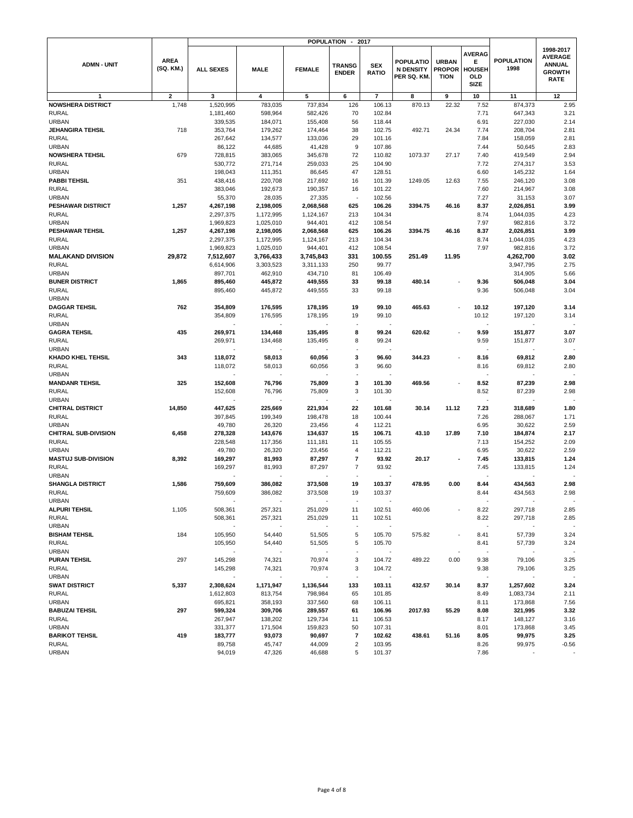|                                          |                          | <b>POPULATION</b><br>2017<br>$\overline{\phantom{a}}$ |                     |                     |                               |                            |                                             |                                              |                                                           |                           |                                                                              |
|------------------------------------------|--------------------------|-------------------------------------------------------|---------------------|---------------------|-------------------------------|----------------------------|---------------------------------------------|----------------------------------------------|-----------------------------------------------------------|---------------------------|------------------------------------------------------------------------------|
| <b>ADMN - UNIT</b>                       | <b>AREA</b><br>(SQ. KM.) | <b>ALL SEXES</b>                                      | <b>MALE</b>         | <b>FEMALE</b>       | <b>TRANSG</b><br><b>ENDER</b> | <b>SEX</b><br><b>RATIO</b> | POPULATIO<br><b>N DENSITY</b><br>PER SQ. KM | <b>URBAN</b><br><b>PROPOR</b><br><b>TION</b> | <b>AVERAG</b><br>Е<br><b>HOUSEH</b><br>OLD<br><b>SIZE</b> | <b>POPULATION</b><br>1998 | 1998-2017<br><b>AVERAGE</b><br><b>ANNUAL</b><br><b>GROWTH</b><br><b>RATE</b> |
| $\mathbf{1}$                             | 2                        | 3                                                     | 4                   | 5                   | 6                             | $\overline{7}$             | 8                                           | 9                                            | 10                                                        | 11                        | 12                                                                           |
| <b>NOWSHERA DISTRICT</b>                 | 1,748                    | 1,520,995                                             | 783,035             | 737,834             | 126                           | 106.13                     | 870.13                                      | 22.32                                        | 7.52                                                      | 874,373                   | 2.95                                                                         |
| <b>RURAL</b>                             |                          | 1,181,460                                             | 598,964             | 582,426             | 70                            | 102.84                     |                                             |                                              | 7.71                                                      | 647,343                   | 3.21                                                                         |
| <b>URBAN</b>                             |                          | 339,535                                               | 184,071             | 155,408             | 56                            | 118.44                     |                                             |                                              | 6.91                                                      | 227,030                   | 2.14                                                                         |
| <b>JEHANGIRA TEHSIL</b>                  | 718                      | 353,764                                               | 179,262             | 174,464             | 38                            | 102.75                     | 492.71                                      | 24.34                                        | 7.74                                                      | 208,704                   | 2.81                                                                         |
| <b>RURAL</b>                             |                          | 267,642                                               | 134,577             | 133,036             | 29                            | 101.16                     |                                             |                                              | 7.84                                                      | 158,059                   | 2.81                                                                         |
| <b>URBAN</b>                             |                          | 86,122                                                | 44,685              | 41,428              | 9                             | 107.86                     |                                             |                                              | 7.44                                                      | 50,645                    | 2.83                                                                         |
| <b>NOWSHERA TEHSIL</b>                   | 679                      | 728,815                                               | 383,065             | 345,678             | 72                            | 110.82                     | 1073.37                                     | 27.17                                        | 7.40                                                      | 419,549                   | 2.94                                                                         |
| <b>RURAL</b>                             |                          | 530,772                                               | 271,714             | 259,033             | 25                            | 104.90                     |                                             |                                              | 7.72                                                      | 274,317                   | 3.53                                                                         |
| <b>URBAN</b>                             |                          | 198,043                                               | 111,351             | 86,645              | 47                            | 128.51                     |                                             |                                              | 6.60                                                      | 145,232                   | 1.64                                                                         |
| <b>PABBI TEHSIL</b>                      | 351                      | 438,416                                               | 220,708             | 217,692             | 16                            | 101.39                     | 1249.05                                     | 12.63                                        | 7.55<br>7.60                                              | 246,120                   | 3.08                                                                         |
| <b>RURAL</b>                             |                          | 383,046                                               | 192,673             | 190,357             | 16                            | 101.22<br>102.56           |                                             |                                              | 7.27                                                      | 214,967                   | 3.08<br>3.07                                                                 |
| <b>URBAN</b><br><b>PESHAWAR DISTRICT</b> | 1,257                    | 55,370<br>4,267,198                                   | 28,035<br>2,198,005 | 27,335<br>2,068,568 | 625                           | 106.26                     | 3394.75                                     | 46.16                                        | 8.37                                                      | 31,153<br>2,026,851       | 3.99                                                                         |
| <b>RURAL</b>                             |                          | 2,297,375                                             | 1,172,995           | 1,124,167           | 213                           | 104.34                     |                                             |                                              | 8.74                                                      | 1,044,035                 | 4.23                                                                         |
| <b>URBAN</b>                             |                          | 1,969,823                                             | 1,025,010           | 944,401             | 412                           | 108.54                     |                                             |                                              | 7.97                                                      | 982,816                   | 3.72                                                                         |
| <b>PESHAWAR TEHSIL</b>                   | 1,257                    | 4,267,198                                             | 2,198,005           | 2,068,568           | 625                           | 106.26                     | 3394.75                                     | 46.16                                        | 8.37                                                      | 2,026,851                 | 3.99                                                                         |
| <b>RURAL</b>                             |                          | 2,297,375                                             | 1,172,995           | 1,124,167           | 213                           | 104.34                     |                                             |                                              | 8.74                                                      | 1,044,035                 | 4.23                                                                         |
| <b>URBAN</b>                             |                          | 1,969,823                                             | 1,025,010           | 944,401             | 412                           | 108.54                     |                                             |                                              | 7.97                                                      | 982,816                   | 3.72                                                                         |
| <b>MALAKAND DIVISION</b>                 | 29,872                   | 7,512,607                                             | 3,766,433           | 3,745,843           | 331                           | 100.55                     | 251.49                                      | 11.95                                        |                                                           | 4,262,700                 | 3.02                                                                         |
| <b>RURAL</b>                             |                          | 6,614,906                                             | 3,303,523           | 3,311,133           | 250                           | 99.77                      |                                             |                                              |                                                           | 3,947,795                 | 2.75                                                                         |
| <b>URBAN</b>                             |                          | 897,701                                               | 462,910             | 434,710             | 81                            | 106.49                     |                                             |                                              |                                                           | 314,905                   | 5.66                                                                         |
| <b>BUNER DISTRICT</b>                    | 1,865                    | 895,460                                               | 445,872             | 449,555             | 33                            | 99.18                      | 480.14                                      |                                              | 9.36                                                      | 506,048                   | 3.04                                                                         |
| <b>RURAL</b>                             |                          | 895,460                                               | 445,872             | 449,555             | 33                            | 99.18                      |                                             |                                              | 9.36                                                      | 506,048                   | 3.04                                                                         |
| <b>URBAN</b>                             |                          |                                                       |                     |                     |                               |                            |                                             |                                              |                                                           |                           |                                                                              |
| <b>DAGGAR TEHSIL</b>                     | 762                      | 354,809                                               | 176,595             | 178,195             | 19                            | 99.10                      | 465.63                                      |                                              | 10.12                                                     | 197,120                   | 3.14                                                                         |
| <b>RURAL</b>                             |                          | 354,809                                               | 176,595             | 178,195             | 19                            | 99.10                      |                                             |                                              | 10.12                                                     | 197,120                   | 3.14                                                                         |
| <b>URBAN</b>                             |                          |                                                       |                     |                     |                               |                            |                                             |                                              |                                                           |                           |                                                                              |
| <b>GAGRA TEHSIL</b>                      | 435                      | 269,971                                               | 134,468             | 135,495             | 8                             | 99.24                      | 620.62                                      |                                              | 9.59                                                      | 151,877                   | 3.07                                                                         |
| <b>RURAL</b>                             |                          | 269,971                                               | 134,468             | 135,495             | 8                             | 99.24                      |                                             |                                              | 9.59                                                      | 151,877                   | 3.07                                                                         |
| <b>URBAN</b>                             |                          |                                                       |                     |                     | ÷,                            |                            |                                             |                                              | $\sim$                                                    |                           |                                                                              |
| <b>KHADO KHEL TEHSIL</b>                 | 343                      | 118,072                                               | 58,013              | 60,056              | 3                             | 96.60                      | 344.23                                      |                                              | 8.16                                                      | 69,812                    | 2.80                                                                         |
| <b>RURAL</b>                             |                          | 118,072                                               | 58,013              | 60,056              | 3                             | 96.60                      |                                             |                                              | 8.16                                                      | 69,812                    | 2.80                                                                         |
| <b>URBAN</b>                             |                          |                                                       |                     |                     |                               |                            |                                             |                                              |                                                           |                           |                                                                              |
| <b>MANDANR TEHSIL</b>                    | 325                      | 152,608                                               | 76,796              | 75,809              | 3                             | 101.30                     | 469.56                                      |                                              | 8.52                                                      | 87,239                    | 2.98                                                                         |
| <b>RURAL</b>                             |                          | 152,608                                               | 76,796              | 75,809              | 3                             | 101.30                     |                                             |                                              | 8.52                                                      | 87,239                    | 2.98                                                                         |
| <b>URBAN</b><br><b>CHITRAL DISTRICT</b>  |                          |                                                       |                     |                     | 22                            | 101.68                     |                                             |                                              | 7.23                                                      |                           | 1.80                                                                         |
| <b>RURAL</b>                             | 14,850                   | 447,625<br>397,845                                    | 225,669<br>199,349  | 221,934<br>198,478  | 18                            | 100.44                     | 30.14                                       | 11.12                                        | 7.26                                                      | 318,689<br>288,067        | 1.71                                                                         |
| <b>URBAN</b>                             |                          | 49,780                                                | 26,320              | 23,456              | $\overline{4}$                | 112.21                     |                                             |                                              | 6.95                                                      | 30,622                    | 2.59                                                                         |
| <b>CHITRAL SUB-DIVISION</b>              | 6,458                    | 278,328                                               | 143,676             | 134,637             | 15                            | 106.71                     | 43.10                                       | 17.89                                        | 7.10                                                      | 184,874                   | 2.17                                                                         |
| <b>RURAL</b>                             |                          | 228,548                                               | 117,356             | 111,181             | 11                            | 105.55                     |                                             |                                              | 7.13                                                      | 154,252                   | 2.09                                                                         |
| <b>URBAN</b>                             |                          | 49,780                                                | 26,320              | 23,456              | 4                             | 112.21                     |                                             |                                              | 6.95                                                      | 30,622                    | 2.59                                                                         |
| <b>MASTUJ SUB-DIVISION</b>               | 8,392                    | 169,297                                               | 81,993              | 87,297              | $\overline{7}$                | 93.92                      | 20.17                                       |                                              | 7.45                                                      | 133,815                   | 1.24                                                                         |
| <b>RURAL</b>                             |                          | 169,297                                               | 81,993              | 87,297              | $\overline{7}$                | 93.92                      |                                             |                                              | 7.45                                                      | 133,815                   | 1.24                                                                         |
| <b>URBAN</b>                             |                          |                                                       |                     |                     |                               |                            |                                             |                                              |                                                           |                           |                                                                              |
| <b>SHANGLA DISTRICT</b>                  | 1,586                    | 759,609                                               | 386,082             | 373,508             | 19                            | 103.37                     | 478.95                                      | 0.00                                         | 8.44                                                      | 434,563                   | 2.98                                                                         |
| <b>RURAL</b>                             |                          | 759,609                                               | 386,082             | 373,508             | 19                            | 103.37                     |                                             |                                              | 8.44                                                      | 434,563                   | 2.98                                                                         |
| URBAN                                    |                          |                                                       |                     |                     |                               |                            |                                             |                                              |                                                           |                           |                                                                              |
| <b>ALPURI TEHSIL</b>                     | 1,105                    | 508,361                                               | 257,321             | 251,029             | 11                            | 102.51                     | 460.06                                      |                                              | 8.22                                                      | 297,718                   | 2.85                                                                         |
| <b>RURAL</b>                             |                          | 508,361                                               | 257,321             | 251,029             | 11                            | 102.51                     |                                             |                                              | 8.22                                                      | 297,718                   | 2.85                                                                         |
| <b>URBAN</b>                             |                          |                                                       |                     |                     | ÷,                            |                            |                                             |                                              |                                                           |                           |                                                                              |
| <b>BISHAM TEHSIL</b>                     | 184                      | 105,950                                               | 54,440              | 51,505              | 5                             | 105.70                     | 575.82                                      |                                              | 8.41                                                      | 57,739                    | 3.24                                                                         |
| <b>RURAL</b>                             |                          | 105,950                                               | 54,440              | 51,505              | 5                             | 105.70                     |                                             |                                              | 8.41                                                      | 57,739                    | 3.24                                                                         |
| <b>URBAN</b>                             |                          |                                                       |                     |                     |                               |                            |                                             |                                              |                                                           |                           |                                                                              |
| <b>PURAN TEHSIL</b>                      | 297                      | 145,298                                               | 74,321              | 70,974              | 3                             | 104.72                     | 489.22                                      | 0.00                                         | 9.38                                                      | 79,106                    | 3.25                                                                         |
| <b>RURAL</b>                             |                          | 145,298                                               | 74,321              | 70,974              | 3                             | 104.72                     |                                             |                                              | 9.38                                                      | 79,106                    | 3.25                                                                         |
| <b>URBAN</b>                             |                          |                                                       |                     |                     |                               |                            |                                             |                                              |                                                           |                           |                                                                              |
| <b>SWAT DISTRICT</b>                     | 5,337                    | 2,308,624                                             | 1,171,947           | 1,136,544           | 133                           | 103.11                     | 432.57                                      | 30.14                                        | 8.37                                                      | 1,257,602                 | 3.24                                                                         |
| <b>RURAL</b>                             |                          | 1,612,803                                             | 813,754             | 798,984             | 65                            | 101.85                     |                                             |                                              | 8.49                                                      | 1,083,734                 | 2.11                                                                         |
| <b>URBAN</b>                             |                          | 695,821                                               | 358,193             | 337,560             | 68                            | 106.11                     |                                             |                                              | 8.11                                                      | 173,868                   | 7.56                                                                         |
| <b>BABUZAI TEHSIL</b><br><b>RURAL</b>    | 297                      | 599,324<br>267,947                                    | 309,706<br>138,202  | 289,557<br>129,734  | 61                            | 106.96                     | 2017.93                                     | 55.29                                        | 8.08                                                      | 321,995<br>148,127        | 3.32                                                                         |
| <b>URBAN</b>                             |                          | 331,377                                               | 171,504             | 159,823             | 11<br>50                      | 106.53<br>107.31           |                                             |                                              | 8.17<br>8.01                                              | 173,868                   | 3.16<br>3.45                                                                 |
| <b>BARIKOT TEHSIL</b>                    | 419                      | 183,777                                               | 93,073              | 90,697              | 7                             | 102.62                     | 438.61                                      | 51.16                                        | 8.05                                                      | 99,975                    | 3.25                                                                         |
| <b>RURAL</b>                             |                          | 89,758                                                | 45,747              | 44,009              | $\overline{c}$                | 103.95                     |                                             |                                              | 8.26                                                      | 99,975                    | $-0.56$                                                                      |
| <b>URBAN</b>                             |                          | 94,019                                                | 47,326              | 46,688              | 5                             | 101.37                     |                                             |                                              | 7.86                                                      |                           |                                                                              |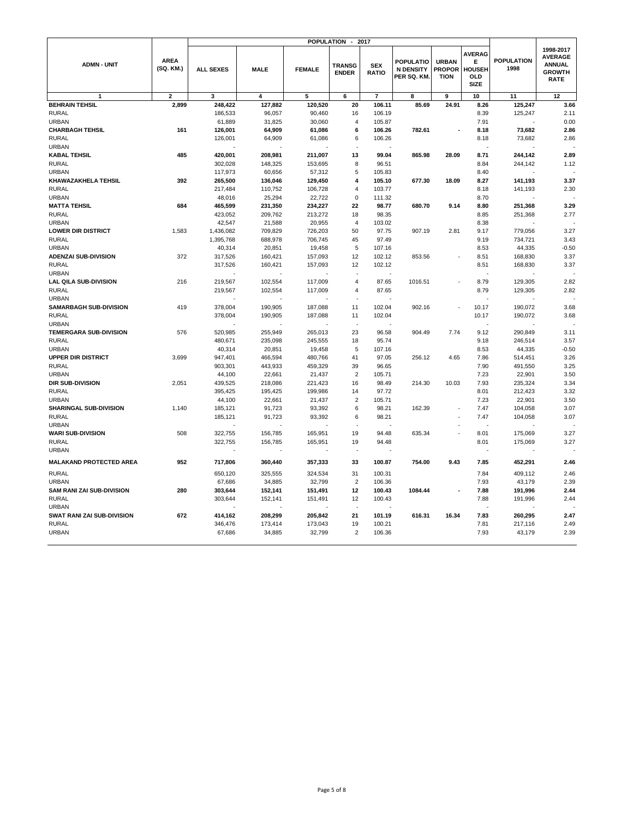|                                |                          |                  |             |               | POPULATION -                  | 2017                       |                                              |                                              |                                                           |                           |                                                                              |
|--------------------------------|--------------------------|------------------|-------------|---------------|-------------------------------|----------------------------|----------------------------------------------|----------------------------------------------|-----------------------------------------------------------|---------------------------|------------------------------------------------------------------------------|
| <b>ADMN - UNIT</b>             | <b>AREA</b><br>(SQ. KM.) | <b>ALL SEXES</b> | <b>MALE</b> | <b>FEMALE</b> | <b>TRANSG</b><br><b>ENDER</b> | <b>SEX</b><br><b>RATIO</b> | POPULATIO<br><b>N DENSITY</b><br>PER SQ. KM. | <b>URBAN</b><br><b>PROPOR</b><br><b>TION</b> | <b>AVERAG</b><br>Е<br><b>HOUSEH</b><br>OLD<br><b>SIZE</b> | <b>POPULATION</b><br>1998 | 1998-2017<br><b>AVERAGE</b><br><b>ANNUAL</b><br><b>GROWTH</b><br><b>RATE</b> |
| $\mathbf{1}$                   | $\overline{2}$           | 3                | 4           | 5             | 6                             | $\overline{7}$             | 8                                            | 9                                            | 10                                                        | 11                        | 12                                                                           |
| <b>BEHRAIN TEHSIL</b>          | 2,899                    | 248,422          | 127,882     | 120,520       | 20                            | 106.11                     | 85.69                                        | 24.91                                        | 8.26                                                      | 125,247                   | 3.66                                                                         |
| <b>RURAL</b>                   |                          | 186,533          | 96,057      | 90,460        | 16                            | 106.19                     |                                              |                                              | 8.39                                                      | 125,247                   | 2.11                                                                         |
| <b>URBAN</b>                   |                          | 61,889           | 31,825      | 30,060        | $\overline{4}$                | 105.87                     |                                              |                                              | 7.91                                                      |                           | 0.00                                                                         |
| <b>CHARBAGH TEHSIL</b>         | 161                      | 126,001          | 64,909      | 61,086        | 6                             | 106.26                     | 782.61                                       |                                              | 8.18                                                      | 73,682                    | 2.86                                                                         |
| <b>RURAL</b>                   |                          | 126,001          | 64,909      | 61,086        | 6                             | 106.26                     |                                              |                                              | 8.18                                                      | 73,682                    | 2.86                                                                         |
| <b>URBAN</b>                   |                          |                  |             |               |                               |                            |                                              |                                              |                                                           |                           |                                                                              |
| <b>KABAL TEHSIL</b>            | 485                      | 420,001          | 208,981     | 211,007       | 13                            | 99.04                      | 865.98                                       | 28.09                                        | 8.71                                                      | 244,142                   | 2.89                                                                         |
| <b>RURAL</b>                   |                          | 302,028          | 148,325     | 153,695       | 8                             | 96.51                      |                                              |                                              | 8.84                                                      | 244,142                   | 1.12                                                                         |
| <b>URBAN</b>                   |                          | 117,973          | 60,656      | 57,312        | 5                             | 105.83                     |                                              |                                              | 8.40                                                      |                           |                                                                              |
| KHAWAZAKHELA TEHSIL            | 392                      | 265,500          | 136,046     | 129,450       | 4                             | 105.10                     | 677.30                                       | 18.09                                        | 8.27                                                      | 141,193                   | 3.37                                                                         |
| <b>RURAL</b>                   |                          | 217,484          | 110,752     | 106,728       | $\overline{\mathbf{4}}$       | 103.77                     |                                              |                                              | 8.18                                                      | 141,193                   | 2.30                                                                         |
| <b>URBAN</b>                   |                          | 48,016           | 25,294      | 22,722        | $\Omega$                      | 111.32                     |                                              |                                              | 8.70                                                      |                           |                                                                              |
| <b>MATTA TEHSIL</b>            | 684                      | 465,599          | 231,350     | 234,227       | 22                            | 98.77                      | 680.70                                       | 9.14                                         | 8.80                                                      | 251,368                   | 3.29                                                                         |
| <b>RURAL</b>                   |                          | 423,052          | 209,762     | 213,272       | 18                            | 98.35                      |                                              |                                              | 8.85                                                      | 251,368                   | 2.77                                                                         |
| <b>URBAN</b>                   |                          | 42,547           | 21,588      | 20,955        | $\overline{4}$                | 103.02                     |                                              |                                              | 8.38                                                      |                           |                                                                              |
| <b>LOWER DIR DISTRICT</b>      | 1.583                    | 1,436,082        | 709,829     | 726,203       | 50                            | 97.75                      | 907.19                                       | 2.81                                         | 9.17                                                      | 779,056                   | 3.27                                                                         |
| <b>RURAL</b>                   |                          | 1,395,768        | 688,978     | 706,745       | 45                            | 97.49                      |                                              |                                              | 9.19                                                      | 734,721                   | 3.43                                                                         |
| <b>URBAN</b>                   |                          | 40,314           | 20,851      | 19,458        | 5                             | 107.16                     |                                              |                                              | 8.53                                                      | 44,335                    | $-0.50$                                                                      |
| <b>ADENZAI SUB-DIVISION</b>    | 372                      | 317,526          | 160,421     | 157,093       | 12                            | 102.12                     | 853.56                                       |                                              | 8.51                                                      | 168,830                   | 3.37                                                                         |
| <b>RURAL</b>                   |                          | 317,526          | 160,421     | 157,093       | 12                            | 102.12                     |                                              |                                              | 8.51                                                      | 168,830                   | 3.37                                                                         |
| <b>URBAN</b>                   |                          |                  |             |               |                               |                            |                                              |                                              |                                                           |                           |                                                                              |
| <b>LAL QILA SUB-DIVISION</b>   | 216                      | 219,567          | 102,554     | 117,009       | $\overline{4}$                | 87.65                      | 1016.51                                      |                                              | 8.79                                                      | 129,305                   | 2.82                                                                         |
| <b>RURAL</b>                   |                          | 219,567          | 102,554     | 117,009       | $\overline{4}$                | 87.65                      |                                              |                                              | 8.79                                                      | 129,305                   | 2.82                                                                         |
| <b>URBAN</b>                   |                          |                  |             |               |                               |                            |                                              |                                              |                                                           |                           |                                                                              |
| <b>SAMARBAGH SUB-DIVISION</b>  | 419                      | 378,004          | 190,905     | 187,088       | 11                            | 102.04                     | 902.16                                       |                                              | 10.17                                                     | 190,072                   | 3.68                                                                         |
| <b>RURAL</b>                   |                          | 378,004          | 190,905     | 187,088       | 11                            | 102.04                     |                                              |                                              | 10.17                                                     | 190,072                   | 3.68                                                                         |
| <b>URBAN</b>                   |                          |                  |             |               |                               |                            |                                              |                                              |                                                           |                           |                                                                              |
| <b>TEMERGARA SUB-DIVISION</b>  | 576                      | 520,985          | 255,949     | 265,013       | 23                            | 96.58                      | 904.49                                       | 7.74                                         | 9.12                                                      | 290,849                   | 3.11                                                                         |
| <b>RURAL</b>                   |                          | 480,671          | 235,098     | 245,555       | 18                            | 95.74                      |                                              |                                              | 9.18                                                      | 246,514                   | 3.57                                                                         |
| <b>URBAN</b>                   |                          | 40,314           | 20,851      | 19,458        | 5                             | 107.16                     |                                              |                                              | 8.53                                                      | 44,335                    | $-0.50$                                                                      |
| <b>UPPER DIR DISTRICT</b>      | 3,699                    | 947,401          | 466,594     | 480,766       | 41                            | 97.05                      | 256.12                                       | 4.65                                         | 7.86                                                      | 514,451                   | 3.26                                                                         |
| <b>RURAL</b>                   |                          | 903,301          | 443,933     | 459,329       | 39                            | 96.65                      |                                              |                                              | 7.90                                                      | 491,550                   | 3.25                                                                         |
| <b>URBAN</b>                   |                          | 44,100           | 22,661      | 21,437        | $\overline{2}$                | 105.71                     |                                              |                                              | 7.23                                                      | 22,901                    | 3.50                                                                         |
| DIR SUB-DIVISION               | 2,051                    | 439,525          | 218,086     | 221,423       | 16                            | 98.49                      | 214.30                                       | 10.03                                        | 7.93                                                      | 235,324                   | 3.34                                                                         |
| <b>RURAL</b>                   |                          | 395,425          | 195,425     | 199,986       | 14                            | 97.72                      |                                              |                                              | 8.01                                                      | 212,423                   | 3.32                                                                         |
| <b>URBAN</b>                   |                          | 44,100           | 22,661      | 21,437        | $\overline{2}$                | 105.71                     |                                              |                                              | 7.23                                                      | 22,901                    | 3.50                                                                         |
| SHARINGAL SUB-DIVISION         | 1,140                    | 185,121          | 91,723      | 93,392        | 6                             | 98.21                      | 162.39                                       |                                              | 7.47                                                      | 104,058                   | 3.07                                                                         |
| <b>RURAL</b>                   |                          | 185,121          | 91,723      | 93,392        | 6                             | 98.21                      |                                              |                                              | 7.47                                                      | 104,058                   | 3.07                                                                         |
| <b>URBAN</b>                   |                          |                  |             |               |                               |                            |                                              |                                              |                                                           |                           |                                                                              |
| <b>WARI SUB-DIVISION</b>       | 508                      | 322,755          | 156,785     | 165,951       | 19                            | 94.48                      | 635.34                                       |                                              | 8.01                                                      | 175,069                   | 3.27                                                                         |
| <b>RURAL</b>                   |                          | 322,755          | 156,785     | 165,951       | 19                            | 94.48                      |                                              |                                              | 8.01                                                      | 175,069                   | 3.27                                                                         |
| <b>URBAN</b>                   |                          |                  |             |               | $\sim$                        |                            |                                              |                                              |                                                           |                           |                                                                              |
| <b>MALAKAND PROTECTED AREA</b> | 952                      | 717,806          | 360,440     | 357,333       | 33                            | 100.87                     | 754.00                                       | 9.43                                         | 7.85                                                      | 452,291                   | 2.46                                                                         |
| <b>RURAL</b>                   |                          | 650,120          | 325,555     | 324,534       | 31                            | 100.31                     |                                              |                                              | 7.84                                                      | 409,112                   | 2.46                                                                         |
| <b>URBAN</b>                   |                          | 67,686           | 34,885      | 32,799        | $\overline{2}$                | 106.36                     |                                              |                                              | 7.93                                                      | 43,179                    | 2.39                                                                         |
| SAM RANI ZAI SUB-DIVISION      | 280                      | 303,644          | 152,141     | 151,491       | 12                            | 100.43                     | 1084.44                                      |                                              | 7.88                                                      | 191,996                   | 2.44                                                                         |
| <b>RURAL</b>                   |                          | 303,644          | 152,141     | 151,491       | 12                            | 100.43                     |                                              |                                              | 7.88                                                      | 191,996                   | 2.44                                                                         |
| <b>URBAN</b>                   |                          |                  |             |               |                               |                            |                                              |                                              |                                                           |                           |                                                                              |
| SWAT RANI ZAI SUB-DIVISION     | 672                      | 414,162          | 208,299     | 205,842       | 21                            | 101.19                     | 616.31                                       | 16.34                                        | 7.83                                                      | 260,295                   | 2.47                                                                         |
| <b>RURAL</b>                   |                          | 346,476          | 173,414     | 173,043       | 19                            | 100.21                     |                                              |                                              | 7.81                                                      | 217,116                   | 2.49                                                                         |
| <b>URBAN</b>                   |                          | 67,686           | 34,885      | 32,799        | $\overline{2}$                | 106.36                     |                                              |                                              | 7.93                                                      | 43,179                    | 2.39                                                                         |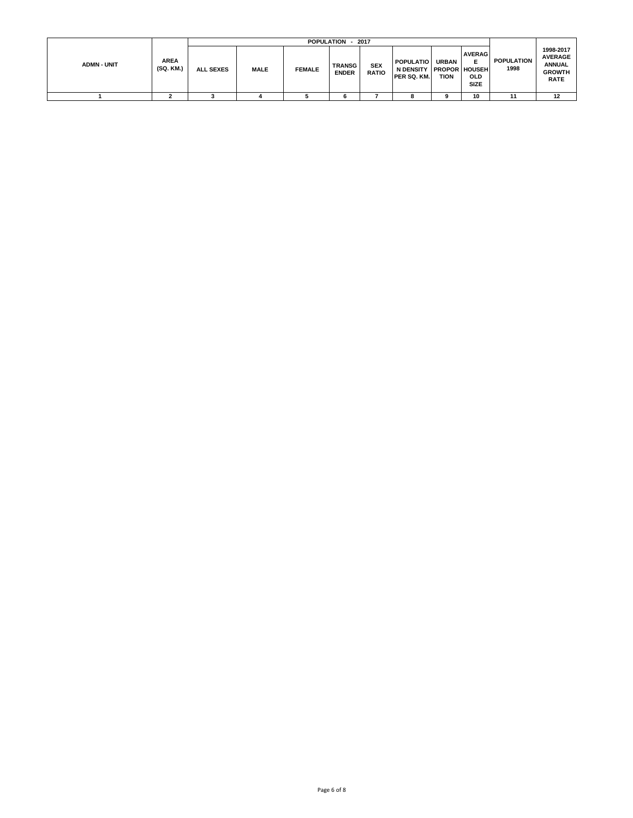|                    |                          |                  | <b>POPULATION</b><br>2017 |               |                               |                            |                                                                    |                             |                                                 |                           |                                                                              |  |
|--------------------|--------------------------|------------------|---------------------------|---------------|-------------------------------|----------------------------|--------------------------------------------------------------------|-----------------------------|-------------------------------------------------|---------------------------|------------------------------------------------------------------------------|--|
| <b>ADMN - UNIT</b> | <b>AREA</b><br>(SQ. KM.) | <b>ALL SEXES</b> | <b>MALE</b>               | <b>FEMALE</b> | <b>TRANSG</b><br><b>ENDER</b> | <b>SEX</b><br><b>RATIO</b> | <b>POPULATIO</b><br>N DENSITY PROPOR HOUSEH<br><b>IPER SQ. KM.</b> | <b>URBAN</b><br><b>TION</b> | <b>AVERAG</b><br>E<br><b>OLD</b><br><b>SIZE</b> | <b>POPULATION</b><br>1998 | 1998-2017<br><b>AVERAGE</b><br><b>ANNUAL</b><br><b>GROWTH</b><br><b>RATE</b> |  |
|                    |                          |                  |                           |               |                               |                            |                                                                    | Ω                           | 10                                              | 11                        | 12                                                                           |  |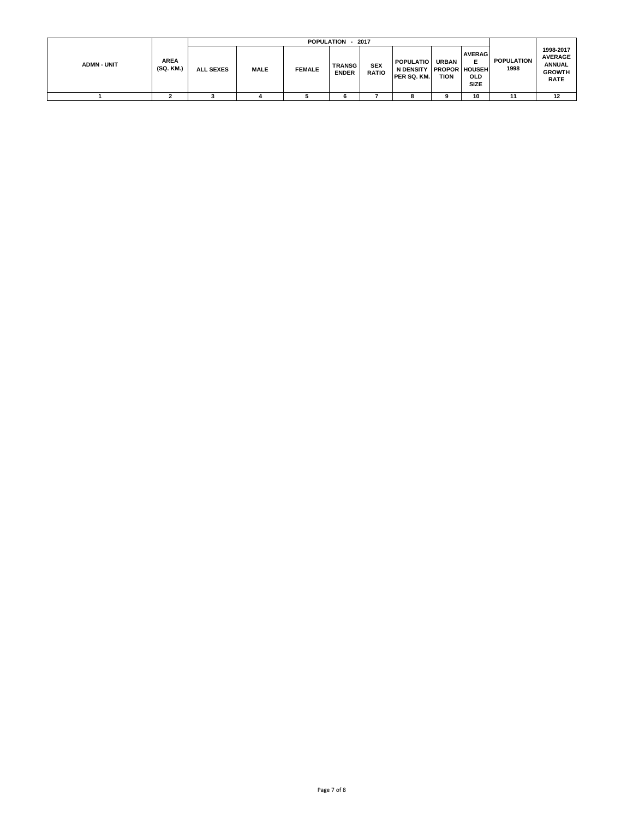|                    |                          |                  | POPULATION - 2017 |               |                               |                            |                                                            |                      |                                          |                           |                                                                              |  |
|--------------------|--------------------------|------------------|-------------------|---------------|-------------------------------|----------------------------|------------------------------------------------------------|----------------------|------------------------------------------|---------------------------|------------------------------------------------------------------------------|--|
| <b>ADMN - UNIT</b> | <b>AREA</b><br>(SQ. KM.) | <b>ALL SEXES</b> | <b>MALE</b>       | <b>FEMALE</b> | <b>TRANSG</b><br><b>ENDER</b> | <b>SEX</b><br><b>RATIO</b> | <b>POPULATIO</b><br>N DENSITY PROPOR HOUSEH<br>PER SQ. KM. | <b>URBAN</b><br>TION | <b>AVERAG</b><br>Е<br>OLD<br><b>SIZE</b> | <b>POPULATION</b><br>1998 | 1998-2017<br><b>AVERAGE</b><br><b>ANNUAL</b><br><b>GROWTH</b><br><b>RATE</b> |  |
|                    |                          |                  |                   |               |                               |                            |                                                            |                      | 10                                       | 11                        | 12                                                                           |  |